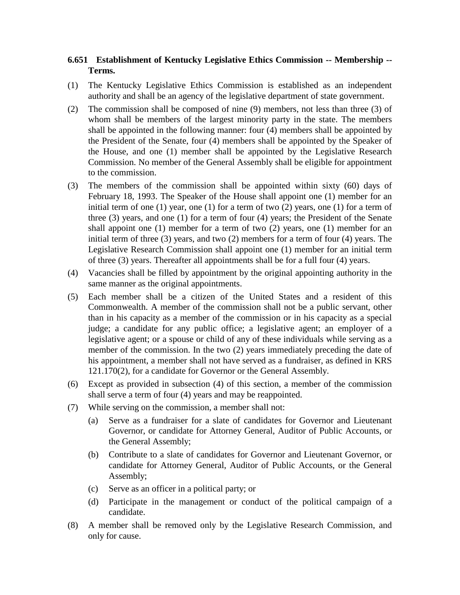## **6.651 Establishment of Kentucky Legislative Ethics Commission -- Membership -- Terms.**

- (1) The Kentucky Legislative Ethics Commission is established as an independent authority and shall be an agency of the legislative department of state government.
- (2) The commission shall be composed of nine (9) members, not less than three (3) of whom shall be members of the largest minority party in the state. The members shall be appointed in the following manner: four (4) members shall be appointed by the President of the Senate, four (4) members shall be appointed by the Speaker of the House, and one (1) member shall be appointed by the Legislative Research Commission. No member of the General Assembly shall be eligible for appointment to the commission.
- (3) The members of the commission shall be appointed within sixty (60) days of February 18, 1993. The Speaker of the House shall appoint one (1) member for an initial term of one  $(1)$  year, one  $(1)$  for a term of two  $(2)$  years, one  $(1)$  for a term of three (3) years, and one (1) for a term of four (4) years; the President of the Senate shall appoint one (1) member for a term of two (2) years, one (1) member for an initial term of three (3) years, and two (2) members for a term of four (4) years. The Legislative Research Commission shall appoint one (1) member for an initial term of three (3) years. Thereafter all appointments shall be for a full four (4) years.
- (4) Vacancies shall be filled by appointment by the original appointing authority in the same manner as the original appointments.
- (5) Each member shall be a citizen of the United States and a resident of this Commonwealth. A member of the commission shall not be a public servant, other than in his capacity as a member of the commission or in his capacity as a special judge; a candidate for any public office; a legislative agent; an employer of a legislative agent; or a spouse or child of any of these individuals while serving as a member of the commission. In the two (2) years immediately preceding the date of his appointment, a member shall not have served as a fundraiser, as defined in KRS 121.170(2), for a candidate for Governor or the General Assembly.
- (6) Except as provided in subsection (4) of this section, a member of the commission shall serve a term of four (4) years and may be reappointed.
- (7) While serving on the commission, a member shall not:
	- (a) Serve as a fundraiser for a slate of candidates for Governor and Lieutenant Governor, or candidate for Attorney General, Auditor of Public Accounts, or the General Assembly;
	- (b) Contribute to a slate of candidates for Governor and Lieutenant Governor, or candidate for Attorney General, Auditor of Public Accounts, or the General Assembly;
	- (c) Serve as an officer in a political party; or
	- (d) Participate in the management or conduct of the political campaign of a candidate.
- (8) A member shall be removed only by the Legislative Research Commission, and only for cause.